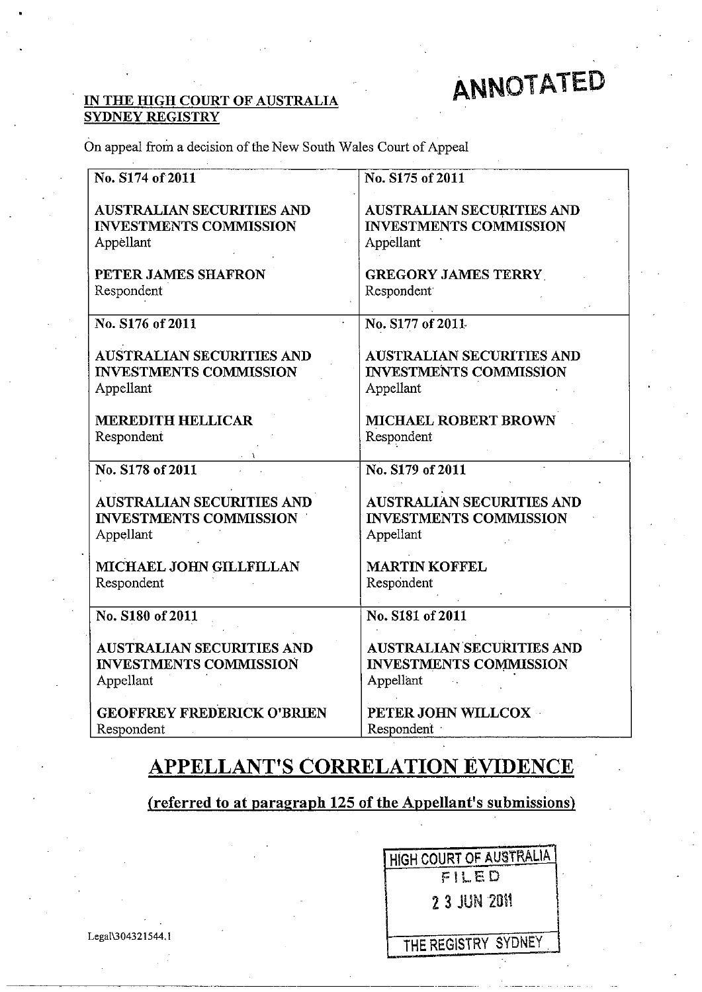# ANNOTATED

#### IN THE HIGH COURT OF AUSTRALIA SYDNEY REGISTRY

On appeal from a decision of the New South Wales Court of Appeal

| No. S174 of 2011                  | No. S175 of 2011                 |
|-----------------------------------|----------------------------------|
| <b>AUSTRALIAN SECURITIES AND</b>  | <b>AUSTRALIAN SECURITIES AND</b> |
| <b>INVESTMENTS COMMISSION</b>     | <b>INVESTMENTS COMMISSION</b>    |
| Appellant                         | Appellant                        |
| PETER JAMES SHAFRON               | <b>GREGORY JAMES TERRY</b>       |
| Respondent                        | Respondent                       |
| No. S176 of 2011                  | No. S177 of 2011                 |
| <b>AUSTRALIAN SECURITIES AND</b>  | <b>AUSTRALIAN SECURITIES AND</b> |
| <b>INVESTMENTS COMMISSION</b>     | <b>INVESTMENTS COMMISSION</b>    |
| Appellant                         | Appellant                        |
| <b>MEREDITH HELLICAR</b>          | <b>MICHAEL ROBERT BROWN</b>      |
| Respondent                        | Respondent                       |
| No. S178 of 2011                  | No. S179 of 2011                 |
| <b>AUSTRALIAN SECURITIES AND</b>  | <b>AUSTRALIAN SECURITIES AND</b> |
| <b>INVESTMENTS COMMISSION</b>     | <b>INVESTMENTS COMMISSION</b>    |
| Appellant                         | Appellant                        |
| MICHAEL JOHN GILLFILLAN           | <b>MARTIN KOFFEL</b>             |
| Respondent                        | Respondent                       |
| No. S180 of 2011                  | No. S181 of 2011                 |
| <b>AUSTRALIAN SECURITIES AND</b>  | <b>AUSTRALIAN SECURITIES AND</b> |
| <b>INVESTMENTS COMMISSION</b>     | <b>INVESTMENTS COMMISSION</b>    |
| Appellant                         | Appellant                        |
| <b>GEOFFREY FREDERICK O'BRIEN</b> | PETER JOHN WILLCOX               |
| Respondent                        | Respondent                       |

# **APPELLANT'S CORRELATION EVIDENCE**

(referred to at paragraph 125 of the Appellant's submissions)

|                   | <b>HIGH COURT OF AUSTRALIA</b> |
|-------------------|--------------------------------|
|                   | FILED                          |
|                   | 2 3 JUN 2011                   |
| Legal\304321544.1 | THE REGISTRY SYDNEY            |

I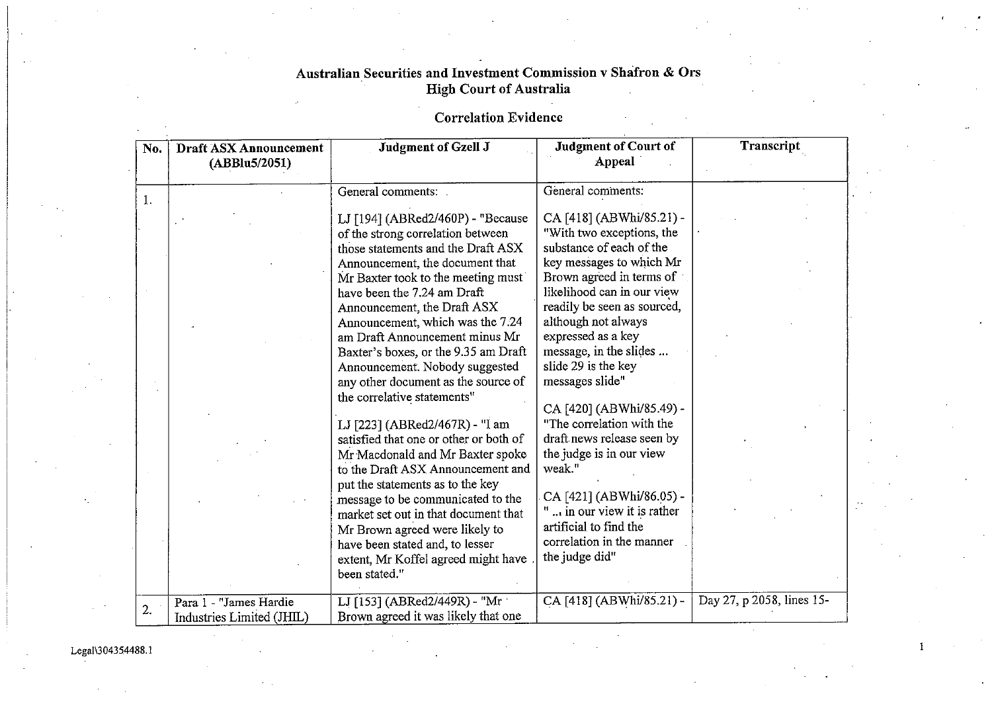# Correlation Evidence

| No. | <b>Draft ASX Announcement</b><br>(ABBlu5/2051)      | Judgment of Gzell J                                                                                                                                                                                                                                                                                                                                                                                                                                                                                                                                                                                                                                                                                     | <b>Judgment of Court of</b><br>Appeal                                                                                                                                                                                                                                                                                                                                                                                                                                            | Transcript                |
|-----|-----------------------------------------------------|---------------------------------------------------------------------------------------------------------------------------------------------------------------------------------------------------------------------------------------------------------------------------------------------------------------------------------------------------------------------------------------------------------------------------------------------------------------------------------------------------------------------------------------------------------------------------------------------------------------------------------------------------------------------------------------------------------|----------------------------------------------------------------------------------------------------------------------------------------------------------------------------------------------------------------------------------------------------------------------------------------------------------------------------------------------------------------------------------------------------------------------------------------------------------------------------------|---------------------------|
|     |                                                     | General comments:                                                                                                                                                                                                                                                                                                                                                                                                                                                                                                                                                                                                                                                                                       | General comments:                                                                                                                                                                                                                                                                                                                                                                                                                                                                |                           |
| 1   |                                                     | LJ [194] (ABRed2/460P) - "Because<br>of the strong correlation between<br>those statements and the Draft ASX<br>Announcement, the document that<br>Mr Baxter took to the meeting must<br>have been the 7.24 am Draft<br>Announcement, the Draft ASX<br>Announcement, which was the 7.24<br>am Draft Announcement minus Mr<br>Baxter's boxes, or the 9.35 am Draft<br>Announcement. Nobody suggested<br>any other document as the source of<br>the correlative statements"<br>LJ [223] (ABRed2/467R) - "I am<br>satisfied that one or other or both of<br>Mr Macdonald and Mr Baxter spoke<br>to the Draft ASX Announcement and<br>put the statements as to the key<br>message to be communicated to the | CA [418] (ABWhi/85.21) -<br>"With two exceptions, the<br>substance of each of the<br>key messages to which Mr<br>Brown agreed in terms of<br>likelihood can in our view<br>readily be seen as sourced,<br>although not always<br>expressed as a key<br>message, in the slides<br>slide 29 is the key<br>messages slide"<br>CA [420] (ABWhi/85.49) -<br>"The correlation with the<br>draft news release seen by<br>the judge is in our view<br>weak."<br>CA [421] (ABWhi/86.05) - |                           |
|     |                                                     | market set out in that document that<br>Mr Brown agreed were likely to<br>have been stated and, to lesser<br>extent, Mr Koffel agreed might have<br>been stated."                                                                                                                                                                                                                                                                                                                                                                                                                                                                                                                                       | " in our view it is rather<br>artificial to find the<br>correlation in the manner<br>the judge did"                                                                                                                                                                                                                                                                                                                                                                              |                           |
| 2.  | Para 1 - "James Hardie<br>Industries Limited (JHIL) | LJ [153] (ABRed2/449R) - "Mr<br>Brown agreed it was likely that one                                                                                                                                                                                                                                                                                                                                                                                                                                                                                                                                                                                                                                     | CA [418] (ABWhi/85.21) -                                                                                                                                                                                                                                                                                                                                                                                                                                                         | Day 27, p 2058, lines 15- |

 $\mathbf{I}$ 

LegaI\304354488. I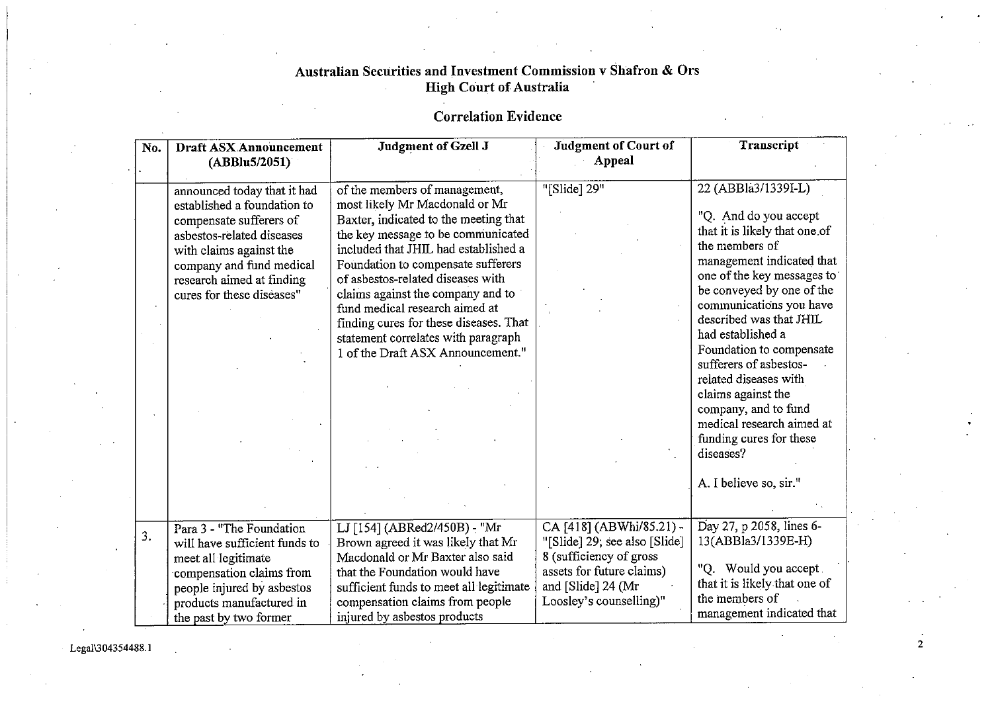# Correlation Evidence

| No. | <b>Draft ASX Announcement</b><br>(ABBlu5/2051)                                                                                                                                                                                      | Judgment of Gzell J                                                                                                                                                                                                                                                                                                                                                                                                                                            | <b>Judgment of Court of</b><br>Appeal                                                                                                                               | Transcript                                                                                                                                                                                                                                                                                                                                                                                                                                                                                     |
|-----|-------------------------------------------------------------------------------------------------------------------------------------------------------------------------------------------------------------------------------------|----------------------------------------------------------------------------------------------------------------------------------------------------------------------------------------------------------------------------------------------------------------------------------------------------------------------------------------------------------------------------------------------------------------------------------------------------------------|---------------------------------------------------------------------------------------------------------------------------------------------------------------------|------------------------------------------------------------------------------------------------------------------------------------------------------------------------------------------------------------------------------------------------------------------------------------------------------------------------------------------------------------------------------------------------------------------------------------------------------------------------------------------------|
|     | announced today that it had<br>established a foundation to<br>compensate sufferers of<br>asbestos-related diseases<br>with claims against the<br>company and fund medical<br>research aimed at finding<br>cures for these diseases" | of the members of management,<br>most likely Mr Macdonald or Mr<br>Baxter, indicated to the meeting that<br>the key message to be communicated<br>included that JHIL had established a<br>Foundation to compensate sufferers<br>of asbestos-related diseases with<br>claims against the company and to<br>fund medical research aimed at<br>finding cures for these diseases. That<br>statement correlates with paragraph<br>1 of the Draft ASX Announcement." | "[Slide] 29"                                                                                                                                                        | 22 (ABBla3/1339I-L)<br>"Q. And do you accept<br>that it is likely that one of<br>the members of<br>management indicated that<br>one of the key messages to<br>be conveyed by one of the<br>communications you have<br>described was that JHIL<br>had established a<br>Foundation to compensate<br>sufferers of asbestos-<br>related diseases with<br>claims against the<br>company, and to fund<br>medical research aimed at<br>funding cures for these<br>diseases?<br>A. I believe so, sir." |
| 3.  | Para 3 - "The Foundation<br>will have sufficient funds to<br>meet all legitimate<br>compensation claims from<br>people injured by asbestos<br>products manufactured in<br>the past by two former                                    | LJ [154] (ABRed2/450B) - "Mr<br>Brown agreed it was likely that Mr<br>Macdonald or Mr Baxter also said<br>that the Foundation would have<br>sufficient funds to meet all legitimate<br>compensation claims from people<br>injured by asbestos products                                                                                                                                                                                                         | CA [418] (ABWhi/85.21) -<br>"[Slide] 29; see also [Slide]<br>8 (sufficiency of gross<br>assets for future claims)<br>and [Slide] 24 (Mr)<br>Loosley's counselling)" | Day 27, p 2058, lines 6-<br>13(ABBla3/1339E-H)<br>"Q. Would you accept.<br>that it is likely that one of<br>the members of<br>management indicated that                                                                                                                                                                                                                                                                                                                                        |

Lega11304354488.1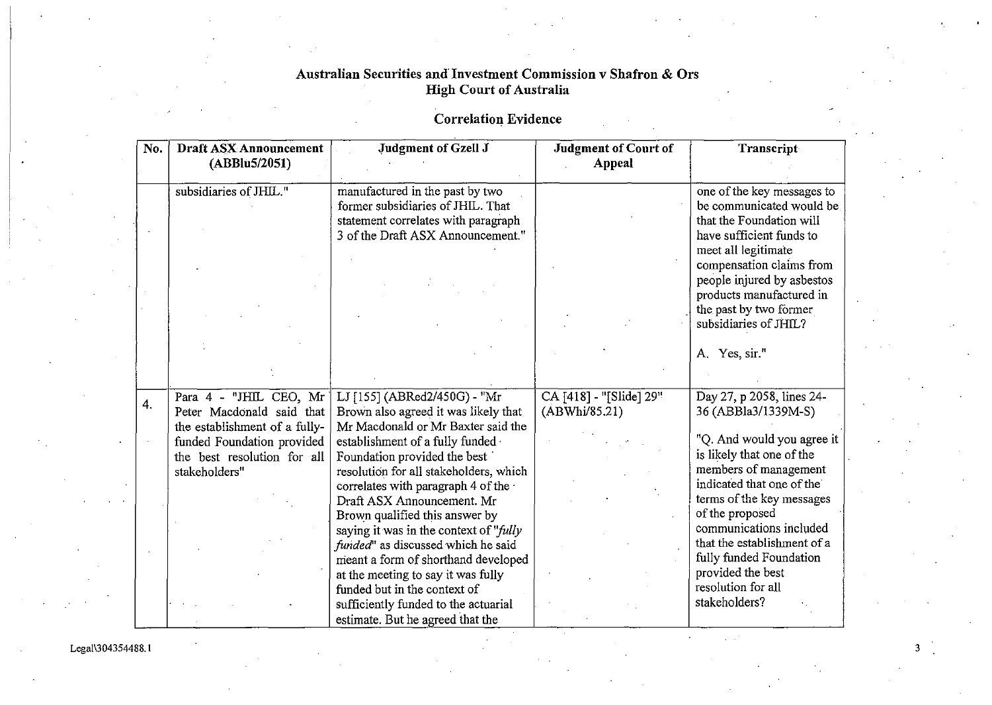# Correlation Evidence

| No. | Draft ASX Announcement<br>(ABBlu5/2051) | Judgment of Gzell J                                                      | <b>Judgment of Court of</b><br>Appeal | Transcript                                             |
|-----|-----------------------------------------|--------------------------------------------------------------------------|---------------------------------------|--------------------------------------------------------|
|     | subsidiaries of JHIL."                  | manufactured in the past by two<br>former subsidiaries of JHIL. That     |                                       | one of the key messages to<br>be communicated would be |
|     |                                         | statement correlates with paragraph<br>3 of the Draft ASX Announcement." |                                       | that the Foundation will<br>have sufficient funds to   |
|     |                                         |                                                                          |                                       | meet all legitimate<br>compensation claims from        |
|     |                                         |                                                                          |                                       | people injured by asbestos<br>products manufactured in |
|     |                                         |                                                                          |                                       | the past by two former<br>subsidiaries of JHIL?        |
|     |                                         |                                                                          |                                       | A. Yes, sir."                                          |
|     |                                         |                                                                          |                                       |                                                        |
| 4.  | Para 4 - "JHIL CEO, Mr                  | LJ [155] (ABRed2/450G) - "Mr                                             | CA [418] - "[Slide] 29"               | Day 27, p 2058, lines 24-                              |
|     | Peter Macdonald said that               | Brown also agreed it was likely that                                     | (ABWhi/85.21)                         | 36 (ABBla3/1339M-S)                                    |
|     | the establishment of a fully-           | Mr Macdonald or Mr Baxter said the                                       |                                       |                                                        |
|     | funded Foundation provided              | establishment of a fully funded                                          |                                       | "Q. And would you agree it                             |
|     | the best resolution for all             | Foundation provided the best                                             |                                       | is likely that one of the                              |
|     | stakeholders"                           | resolution for all stakeholders, which                                   |                                       | members of management<br>indicated that one of the     |
|     |                                         | correlates with paragraph 4 of the                                       |                                       | terms of the key messages                              |
|     |                                         | Draft ASX Announcement. Mr<br>Brown qualified this answer by             |                                       | of the proposed                                        |
|     |                                         | saying it was in the context of "fully                                   |                                       | communications included                                |
|     |                                         | funded" as discussed which he said                                       |                                       | that the establishment of a                            |
|     |                                         | meant a form of shorthand developed                                      |                                       | fully funded Foundation                                |
|     |                                         | at the meeting to say it was fully                                       |                                       | provided the best                                      |
|     |                                         | funded but in the context of                                             |                                       | resolution for all                                     |
|     |                                         | sufficiently funded to the actuarial                                     |                                       | stakeholders?                                          |
|     |                                         | estimate. But he agreed that the                                         |                                       |                                                        |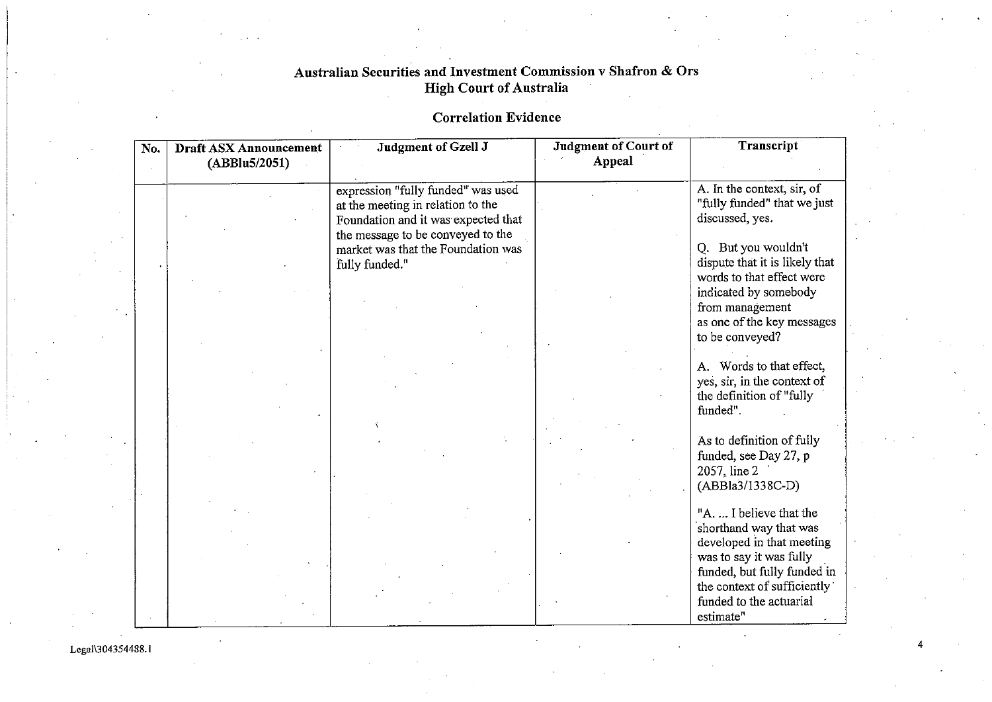# Correlation Evidence

| No. | <b>Draft ASX Announcement</b><br>(ABBlu5/2051) | Judgment of Gzell J                                                                                                                                 | <b>Judgment of Court of</b><br>Appeal | Transcript                                                                                                                                                                                                      |
|-----|------------------------------------------------|-----------------------------------------------------------------------------------------------------------------------------------------------------|---------------------------------------|-----------------------------------------------------------------------------------------------------------------------------------------------------------------------------------------------------------------|
|     |                                                | expression "fully funded" was used<br>at the meeting in relation to the<br>Foundation and it was expected that<br>the message to be conveyed to the |                                       | A. In the context, sir, of<br>"fully funded" that we just<br>discussed, yes.                                                                                                                                    |
|     |                                                | market was that the Foundation was<br>fully funded."                                                                                                |                                       | Q. But you wouldn't<br>dispute that it is likely that<br>words to that effect were                                                                                                                              |
|     |                                                |                                                                                                                                                     |                                       | indicated by somebody<br>from management<br>as one of the key messages<br>to be conveyed?                                                                                                                       |
|     |                                                |                                                                                                                                                     |                                       | A. Words to that effect,<br>yes, sir, in the context of<br>the definition of "fully<br>funded".                                                                                                                 |
|     |                                                |                                                                                                                                                     |                                       | As to definition of fully<br>funded, see Day 27, p<br>2057, line 2<br>(ABBla3/1338C-D)                                                                                                                          |
|     |                                                |                                                                                                                                                     |                                       | "A.  I believe that the<br>shorthand way that was<br>developed in that meeting<br>was to say it was fully<br>funded, but fully funded in<br>the context of sufficiently<br>funded to the actuarial<br>estimate" |

Legal\304354488.1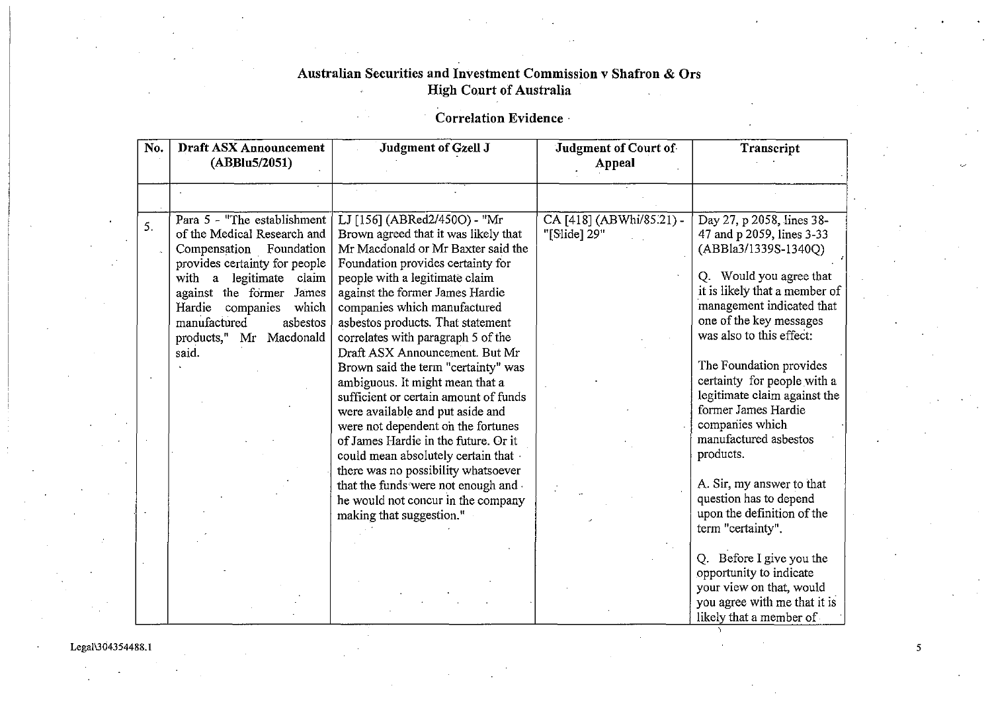# Correlation Evidence·

| No. | Draft ASX Announcement<br>(ABBlu5/2051)                                                                                                                                                                                                                                    | Judgment of Gzell J                                                                                                                                                                                                                                                                                                                                                                                                                                                                                                                                                                                                                                                                                                                                               | <b>Judgment of Court of</b><br>Appeal    | Transcript                                                                                                                                                                                                                                                                                                                                                                                                                                                      |
|-----|----------------------------------------------------------------------------------------------------------------------------------------------------------------------------------------------------------------------------------------------------------------------------|-------------------------------------------------------------------------------------------------------------------------------------------------------------------------------------------------------------------------------------------------------------------------------------------------------------------------------------------------------------------------------------------------------------------------------------------------------------------------------------------------------------------------------------------------------------------------------------------------------------------------------------------------------------------------------------------------------------------------------------------------------------------|------------------------------------------|-----------------------------------------------------------------------------------------------------------------------------------------------------------------------------------------------------------------------------------------------------------------------------------------------------------------------------------------------------------------------------------------------------------------------------------------------------------------|
|     |                                                                                                                                                                                                                                                                            |                                                                                                                                                                                                                                                                                                                                                                                                                                                                                                                                                                                                                                                                                                                                                                   |                                          |                                                                                                                                                                                                                                                                                                                                                                                                                                                                 |
| 5.  | Para 5 - "The establishment<br>of the Medical Research and<br>Compensation Foundation<br>provides certainty for people<br>with a legitimate claim<br>against the former James<br>Hardie companies<br>which<br>manufactured<br>asbestos<br>products," Mr Macdonald<br>said. | LJ [156] (ABRed2/450O) - "Mr<br>Brown agreed that it was likely that<br>Mr Macdonald or Mr Baxter said the<br>Foundation provides certainty for<br>people with a legitimate claim<br>against the former James Hardie<br>companies which manufactured<br>asbestos products. That statement<br>correlates with paragraph 5 of the<br>Draft ASX Announcement. But Mr<br>Brown said the term "certainty" was<br>ambiguous. It might mean that a<br>sufficient or certain amount of funds<br>were available and put aside and<br>were not dependent on the fortunes<br>of James Hardie in the future. Or it<br>could mean absolutely certain that .<br>there was no possibility whatsoever<br>that the funds were not enough and<br>he would not concur in the company | CA [418] (ABWhi/85.21) -<br>"[Slide] 29" | Day 27, p 2058, lines 38-<br>47 and p 2059, lines 3-33<br>(ABBla3/1339S-1340Q)<br>Q. Would you agree that<br>it is likely that a member of<br>management indicated that<br>one of the key messages<br>was also to this effect:<br>The Foundation provides<br>certainty for people with a<br>legitimate claim against the<br>former James Hardie<br>companies which<br>manufactured asbestos<br>products.<br>A. Sir, my answer to that<br>question has to depend |
|     |                                                                                                                                                                                                                                                                            | making that suggestion."                                                                                                                                                                                                                                                                                                                                                                                                                                                                                                                                                                                                                                                                                                                                          |                                          | upon the definition of the<br>term "certainty".                                                                                                                                                                                                                                                                                                                                                                                                                 |
|     |                                                                                                                                                                                                                                                                            |                                                                                                                                                                                                                                                                                                                                                                                                                                                                                                                                                                                                                                                                                                                                                                   |                                          | Q. Before I give you the<br>opportunity to indicate<br>your view on that, would<br>you agree with me that it is<br>likely that a member of                                                                                                                                                                                                                                                                                                                      |

Legal\304354488.1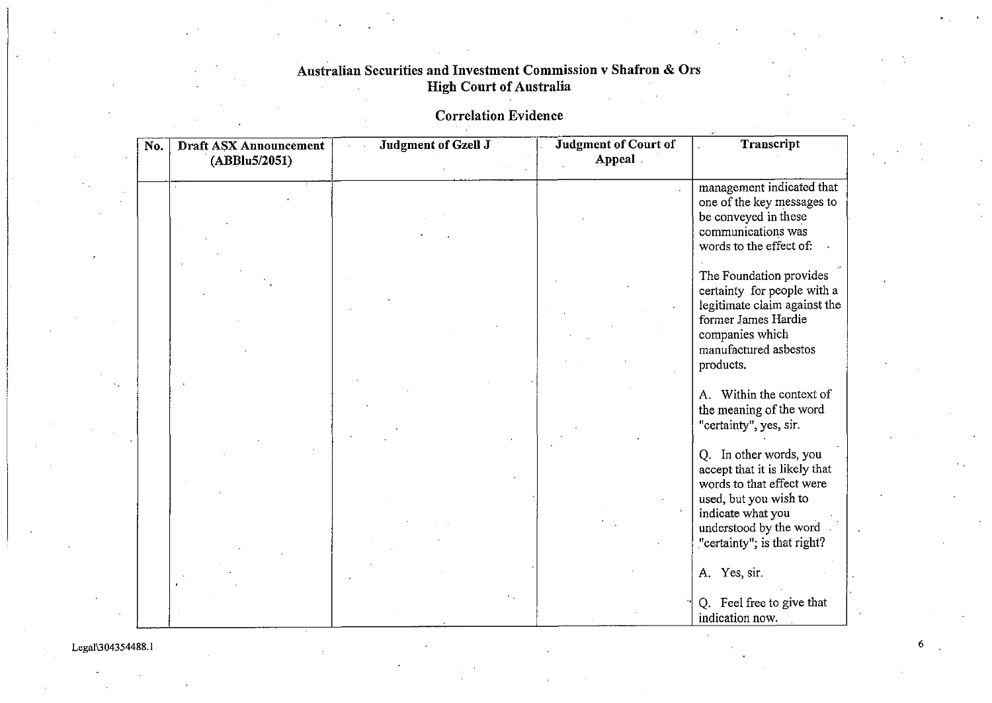**Correlation Evidence** 

| No. | <b>Draft ASX Announcement</b><br>(ABBlu5/2051) | Judgment of Gzell J | <b>Judgment of Court of</b><br>Appeal | Transcript                                                                                                                                                                                  |
|-----|------------------------------------------------|---------------------|---------------------------------------|---------------------------------------------------------------------------------------------------------------------------------------------------------------------------------------------|
|     |                                                |                     |                                       | management indicated that<br>one of the key messages to<br>be conveyed in these<br>communications was<br>words to the effect of:                                                            |
|     |                                                |                     |                                       | The Foundation provides<br>certainty for people with a<br>legitimate claim against the<br>former James Hardie<br>companies which<br>manufactured asbestos<br>products.                      |
|     |                                                |                     |                                       | A. Within the context of<br>the meaning of the word<br>"certainty", yes, sir.                                                                                                               |
|     |                                                |                     |                                       | Q. In other words, you<br>accept that it is likely that<br>words to that effect were<br>used, but you wish to<br>indicate what you<br>understood by the word<br>"certainty"; is that right? |
|     |                                                |                     |                                       | A. Yes, sir.<br>Q. Feel free to give that<br>indication now.                                                                                                                                |

Legai\304354488.1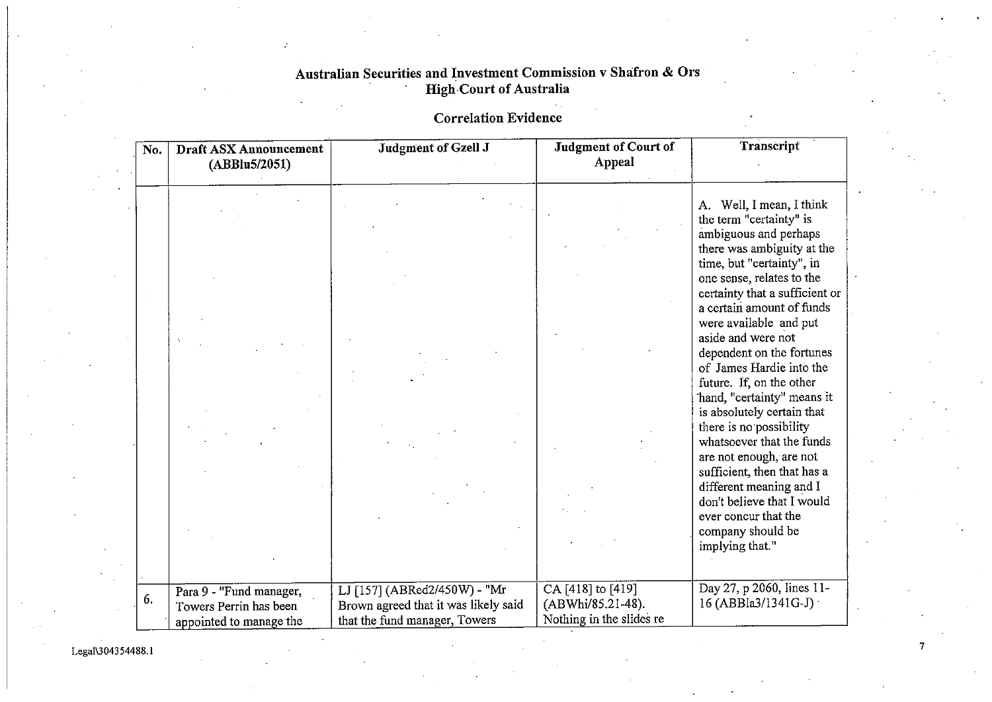# **Correlation Evidence**

| No. | Draft ASX Announcement<br>(ABBlu5/2051)                                      | Judgment of Gzell J                                                                                   | <b>Judgment of Court of</b><br>Appeal                              | Transcript                                                                                                                                                                                             |
|-----|------------------------------------------------------------------------------|-------------------------------------------------------------------------------------------------------|--------------------------------------------------------------------|--------------------------------------------------------------------------------------------------------------------------------------------------------------------------------------------------------|
|     |                                                                              |                                                                                                       |                                                                    | A. Well, I mean, I think<br>the term "certainty" is<br>ambiguous and perhaps<br>there was ambiguity at the<br>time, but "certainty", in<br>one sense, relates to the<br>certainty that a sufficient or |
|     |                                                                              |                                                                                                       |                                                                    | a certain amount of funds<br>were available and put<br>aside and were not<br>dependent on the fortunes<br>of James Hardie into the<br>future. If, on the other<br>'hand, "certainty" means it          |
|     |                                                                              |                                                                                                       |                                                                    | is absolutely certain that<br>there is no possibility<br>whatsoever that the funds<br>are not enough, are not<br>sufficient, then that has a<br>different meaning and I<br>don't believe that I would  |
|     |                                                                              |                                                                                                       |                                                                    | ever concur that the<br>company should be<br>implying that."                                                                                                                                           |
| 6.  | Para 9 - "Fund manager,<br>Towers Perrin has been<br>appointed to manage the | LJ [157] (ABRed2/450W) - "Mr<br>Brown agreed that it was likely said<br>that the fund manager, Towers | CA [418] to [419]<br>(ABWhi/85.21-48).<br>Nothing in the slides re | Day 27, p 2060, lines 11-<br>16 (ABBla3/1341G-J)                                                                                                                                                       |

7

Legal\304354488.1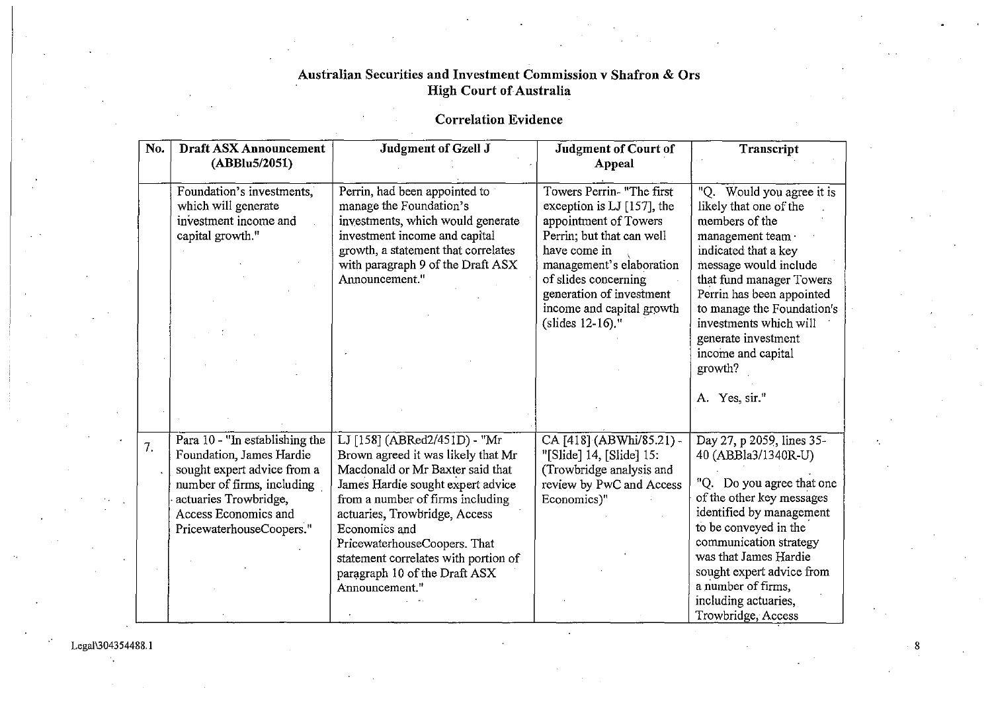#### Correlation Evidence

| No. | <b>Draft ASX Announcement</b><br>(ABBlu5/2051)                                                                                                                                                         | Judgment of Gzell J                                                                                                                                                                                                                                                                                                                                          | <b>Judgment of Court of</b><br>Appeal                                                                                                                                                                                                                          | Transcript                                                                                                                                                                                                                                                                                                              |
|-----|--------------------------------------------------------------------------------------------------------------------------------------------------------------------------------------------------------|--------------------------------------------------------------------------------------------------------------------------------------------------------------------------------------------------------------------------------------------------------------------------------------------------------------------------------------------------------------|----------------------------------------------------------------------------------------------------------------------------------------------------------------------------------------------------------------------------------------------------------------|-------------------------------------------------------------------------------------------------------------------------------------------------------------------------------------------------------------------------------------------------------------------------------------------------------------------------|
|     | Foundation's investments,<br>which will generate<br>investment income and<br>capital growth."                                                                                                          | Perrin, had been appointed to<br>manage the Foundation's<br>investments, which would generate<br>investment income and capital<br>growth, a statement that correlates<br>with paragraph 9 of the Draft ASX<br>Announcement."                                                                                                                                 | Towers Perrin- "The first<br>exception is LJ [157], the<br>appointment of Towers<br>Perrin; but that can well<br>have come in<br>management's elaboration<br>of slides concerning<br>generation of investment<br>income and capital growth<br>(slides 12-16)." | Would you agree it is<br>"Q.<br>likely that one of the<br>members of the<br>management team ·<br>indicated that a key<br>message would include<br>that fund manager Towers<br>Perrin has been appointed<br>to manage the Foundation's<br>investments which will<br>generate investment<br>income and capital<br>growth? |
|     |                                                                                                                                                                                                        |                                                                                                                                                                                                                                                                                                                                                              |                                                                                                                                                                                                                                                                | A. Yes, sir."                                                                                                                                                                                                                                                                                                           |
| 7.  | Para $10 -$ "In establishing the<br>Foundation, James Hardie<br>sought expert advice from a<br>number of firms, including<br>actuaries Trowbridge,<br>Access Economics and<br>PricewaterhouseCoopers." | LJ [158] (ABRed2/451D) - "Mr<br>Brown agreed it was likely that Mr<br>Macdonald or Mr Baxter said that<br>James Hardie sought expert advice<br>from a number of firms including<br>actuaries, Trowbridge, Access<br>Economics and<br>PricewaterhouseCoopers. That<br>statement correlates with portion of<br>paragraph 10 of the Draft ASX<br>Announcement." | CA [418] (ABWhi/85.21) -<br>"[Slide] 14, [Slide] 15:<br>(Trowbridge analysis and<br>review by PwC and Access<br>Economics)"                                                                                                                                    | Day 27, p 2059, lines 35-<br>40 (ABBla3/1340R-U)<br>"Q. Do you agree that one<br>of the other key messages<br>identified by management<br>to be conveyed in the<br>communication strategy<br>was that James Hardie<br>sought expert advice from<br>a number of firms,<br>including actuaries,                           |
|     |                                                                                                                                                                                                        |                                                                                                                                                                                                                                                                                                                                                              |                                                                                                                                                                                                                                                                | Trowbridge, Access                                                                                                                                                                                                                                                                                                      |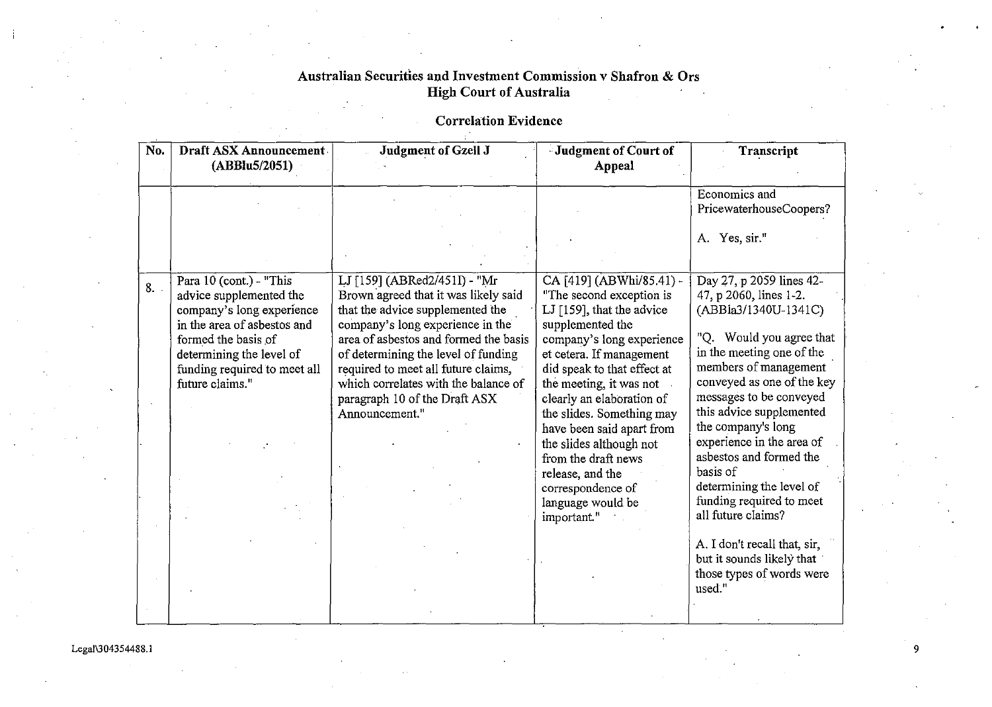#### **Correlation Evidence**

| No. | Draft ASX Announcement<br>(ABBlu5/2051)                                                                                                                                                                              | <b>Judgment of Gzell J</b>                                                                                                                                                                                                                                                                                                                                     | <b>Judgment of Court of</b><br>Appeal                                                                                                                                                                                                                                                                                                                                                                                                          | Transcript                                                                                                                                                                                                                                                                                                                                                                                                                                                |
|-----|----------------------------------------------------------------------------------------------------------------------------------------------------------------------------------------------------------------------|----------------------------------------------------------------------------------------------------------------------------------------------------------------------------------------------------------------------------------------------------------------------------------------------------------------------------------------------------------------|------------------------------------------------------------------------------------------------------------------------------------------------------------------------------------------------------------------------------------------------------------------------------------------------------------------------------------------------------------------------------------------------------------------------------------------------|-----------------------------------------------------------------------------------------------------------------------------------------------------------------------------------------------------------------------------------------------------------------------------------------------------------------------------------------------------------------------------------------------------------------------------------------------------------|
|     |                                                                                                                                                                                                                      |                                                                                                                                                                                                                                                                                                                                                                |                                                                                                                                                                                                                                                                                                                                                                                                                                                | Economics and<br>PricewaterhouseCoopers?                                                                                                                                                                                                                                                                                                                                                                                                                  |
|     |                                                                                                                                                                                                                      |                                                                                                                                                                                                                                                                                                                                                                |                                                                                                                                                                                                                                                                                                                                                                                                                                                | A. Yes, sir."                                                                                                                                                                                                                                                                                                                                                                                                                                             |
| 8.  | Para 10 (cont.) - "This<br>advice supplemented the<br>company's long experience<br>in the area of asbestos and<br>formed the basis of<br>determining the level of<br>funding required to meet all<br>future claims." | LJ [159] (ABRed2/451I) - "Mr<br>Brown agreed that it was likely said<br>that the advice supplemented the<br>company's long experience in the<br>area of asbestos and formed the basis<br>of determining the level of funding<br>required to meet all future claims,<br>which correlates with the balance of<br>paragraph 10 of the Draft ASX<br>Announcement." | CA [419] (ABWhi/85.41) -<br>"The second exception is<br>LJ [159], that the advice<br>supplemented the<br>company's long experience<br>et cetera. If management<br>did speak to that effect at<br>the meeting, it was not<br>clearly an elaboration of<br>the slides. Something may<br>have been said apart from<br>the slides although not<br>from the draft news<br>release, and the<br>correspondence of<br>language would be<br>important." | Day 27, p 2059 lines 42-<br>47, p 2060, lines 1-2.<br>(ABBla3/1340U-1341C)<br>"Q. Would you agree that<br>in the meeting one of the<br>members of management<br>conveyed as one of the key<br>messages to be conveyed<br>this advice supplemented<br>the company's long<br>experience in the area of<br>asbestos and formed the<br>basis of<br>determining the level of<br>funding required to meet<br>all future claims?<br>A. I don't recall that, sir, |
|     |                                                                                                                                                                                                                      |                                                                                                                                                                                                                                                                                                                                                                |                                                                                                                                                                                                                                                                                                                                                                                                                                                | but it sounds likely that<br>those types of words were<br>used."                                                                                                                                                                                                                                                                                                                                                                                          |

!

I

9

Legal\304354488.1